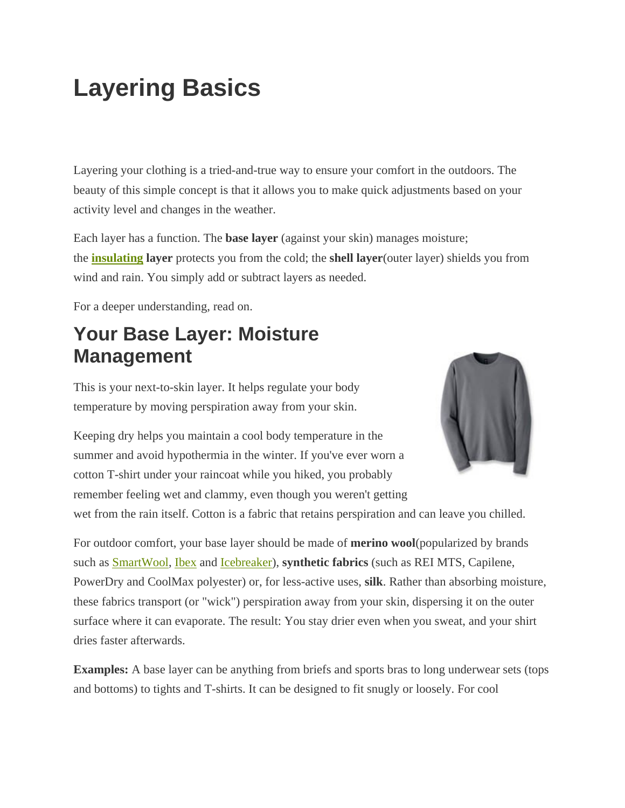# **Layering Basics**

Layering your clothing is a tried-and-true way to ensure your comfort in the outdoors. The beauty of this simple concept is that it allows you to make quick adjustments based on your activity level and changes in the weather.

Each layer has a function. The **base layer** (against your skin) manages moisture; the **insulating layer** protects you from the cold; the **shell layer**(outer layer) shields you from wind and rain. You simply add or subtract layers as needed.

For a deeper understanding, read on.

## **Your Base Layer: Moisture Management**

This is your next-to-skin layer. It helps regulate your body temperature by moving perspiration away from your skin.



Keeping dry helps you maintain a cool body temperature in the summer and avoid hypothermia in the winter. If you've ever worn a cotton T-shirt under your raincoat while you hiked, you probably remember feeling wet and clammy, even though you weren't getting

wet from the rain itself. Cotton is a fabric that retains perspiration and can leave you chilled.

For outdoor comfort, your base layer should be made of **merino wool**(popularized by brands such as SmartWool, Ibex and Icebreaker), **synthetic fabrics** (such as REI MTS, Capilene, PowerDry and CoolMax polyester) or, for less-active uses, **silk**. Rather than absorbing moisture, these fabrics transport (or "wick") perspiration away from your skin, dispersing it on the outer surface where it can evaporate. The result: You stay drier even when you sweat, and your shirt dries faster afterwards.

**Examples:** A base layer can be anything from briefs and sports bras to long underwear sets (tops and bottoms) to tights and T-shirts. It can be designed to fit snugly or loosely. For cool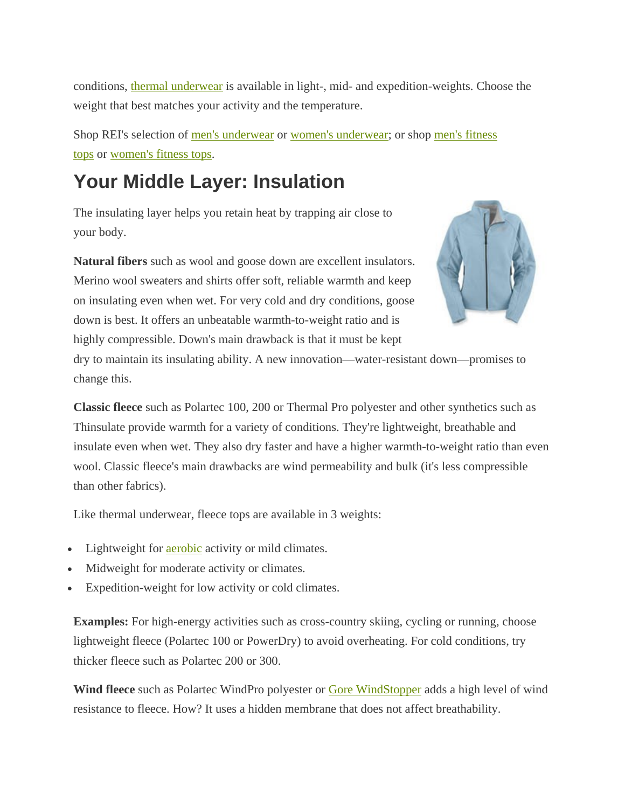conditions, thermal underwear is available in light-, mid- and expedition-weights. Choose the weight that best matches your activity and the temperature.

Shop REI's selection of men's underwear or women's underwear; or shop men's fitness tops or women's fitness tops.

## **Your Middle Layer: Insulation**

The insulating layer helps you retain heat by trapping air close to your body.

**Natural fibers** such as wool and goose down are excellent insulators. Merino wool sweaters and shirts offer soft, reliable warmth and keep on insulating even when wet. For very cold and dry conditions, goose down is best. It offers an unbeatable warmth-to-weight ratio and is highly compressible. Down's main drawback is that it must be kept



dry to maintain its insulating ability. A new innovation—water-resistant down—promises to change this.

**Classic fleece** such as Polartec 100, 200 or Thermal Pro polyester and other synthetics such as Thinsulate provide warmth for a variety of conditions. They're lightweight, breathable and insulate even when wet. They also dry faster and have a higher warmth-to-weight ratio than even wool. Classic fleece's main drawbacks are wind permeability and bulk (it's less compressible than other fabrics).

Like thermal underwear, fleece tops are available in 3 weights:

- Lightweight for **aerobic** activity or mild climates.
- Midweight for moderate activity or climates.
- Expedition-weight for low activity or cold climates.

**Examples:** For high-energy activities such as cross-country skiing, cycling or running, choose lightweight fleece (Polartec 100 or PowerDry) to avoid overheating. For cold conditions, try thicker fleece such as Polartec 200 or 300.

**Wind fleece** such as Polartec WindPro polyester or Gore WindStopper adds a high level of wind resistance to fleece. How? It uses a hidden membrane that does not affect breathability.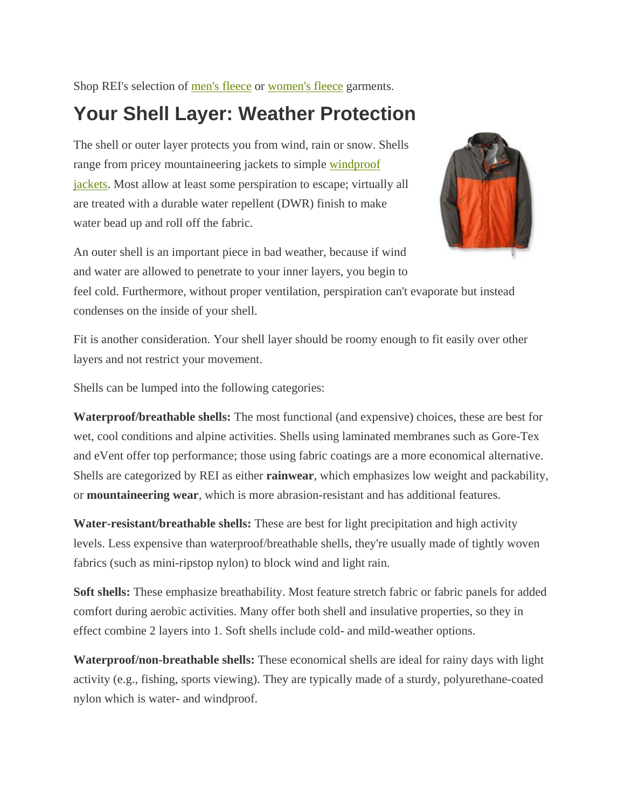Shop REI's selection of men's fleece or women's fleece garments.

## **Your Shell Layer: Weather Protection**

The shell or outer layer protects you from wind, rain or snow. Shells range from pricey mountaineering jackets to simple windproof jackets. Most allow at least some perspiration to escape; virtually all are treated with a durable water repellent (DWR) finish to make water bead up and roll off the fabric.



An outer shell is an important piece in bad weather, because if wind and water are allowed to penetrate to your inner layers, you begin to

feel cold. Furthermore, without proper ventilation, perspiration can't evaporate but instead condenses on the inside of your shell.

Fit is another consideration. Your shell layer should be roomy enough to fit easily over other layers and not restrict your movement.

Shells can be lumped into the following categories:

**Waterproof/breathable shells:** The most functional (and expensive) choices, these are best for wet, cool conditions and alpine activities. Shells using laminated membranes such as Gore-Tex and eVent offer top performance; those using fabric coatings are a more economical alternative. Shells are categorized by REI as either **rainwear**, which emphasizes low weight and packability, or **mountaineering wear**, which is more abrasion-resistant and has additional features.

**Water-resistant/breathable shells:** These are best for light precipitation and high activity levels. Less expensive than waterproof/breathable shells, they're usually made of tightly woven fabrics (such as mini-ripstop nylon) to block wind and light rain.

**Soft shells:** These emphasize breathability. Most feature stretch fabric or fabric panels for added comfort during aerobic activities. Many offer both shell and insulative properties, so they in effect combine 2 layers into 1. Soft shells include cold- and mild-weather options.

**Waterproof/non-breathable shells:** These economical shells are ideal for rainy days with light activity (e.g., fishing, sports viewing). They are typically made of a sturdy, polyurethane-coated nylon which is water- and windproof.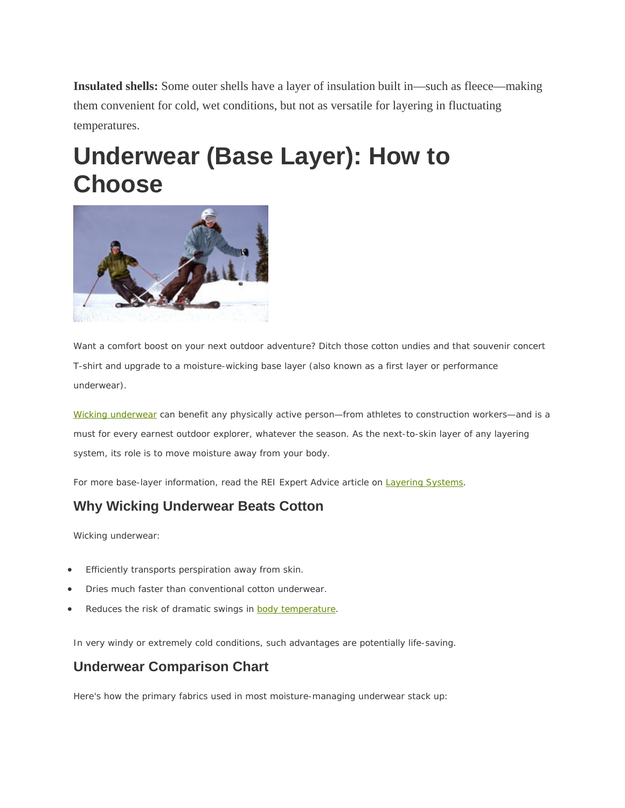**Insulated shells:** Some outer shells have a layer of insulation built in—such as fleece—making them convenient for cold, wet conditions, but not as versatile for layering in fluctuating temperatures.

# **Underwear (Base Layer): How to Choose**



Want a comfort boost on your next outdoor adventure? Ditch those cotton undies and that souvenir concert T-shirt and upgrade to a moisture-wicking base layer (also known as a first layer or performance underwear).

Wicking underwear can benefit any physically active person—from athletes to construction workers—and is a must for every earnest outdoor explorer, whatever the season. As the next-to-skin layer of any layering system, its role is to move moisture away from your body.

For more base-layer information, read the REI Expert Advice article on Layering Systems.

### **Why Wicking Underwear Beats Cotton**

Wicking underwear:

- Efficiently transports perspiration away from skin.
- Dries much faster than conventional cotton underwear.
- Reduces the risk of dramatic swings in **body temperature**.

In very windy or extremely cold conditions, such advantages are potentially life-saving.

### **Underwear Comparison Chart**

Here's how the primary fabrics used in most moisture-managing underwear stack up: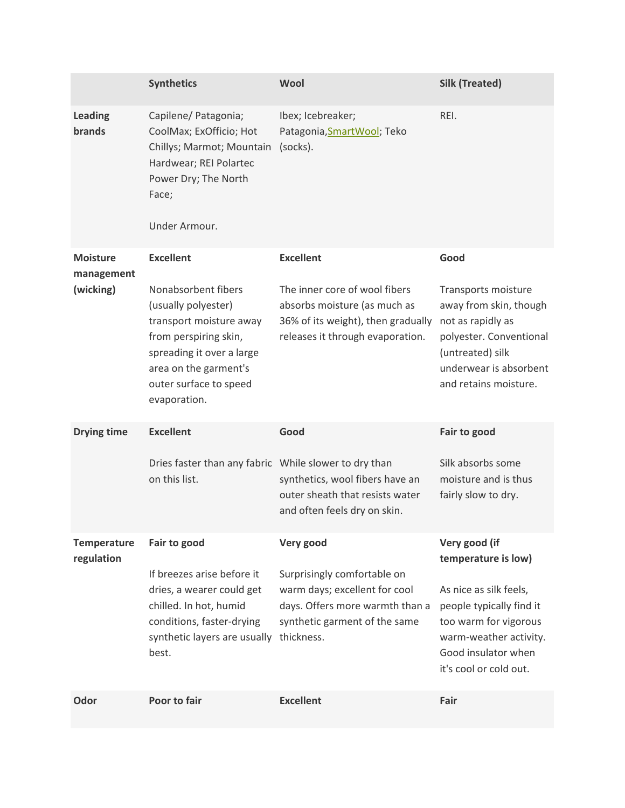|                                  | <b>Synthetics</b>                                                                                                                                                                              | Wool                                                                                                                                           | <b>Silk (Treated)</b>                                                                                                                                                                          |
|----------------------------------|------------------------------------------------------------------------------------------------------------------------------------------------------------------------------------------------|------------------------------------------------------------------------------------------------------------------------------------------------|------------------------------------------------------------------------------------------------------------------------------------------------------------------------------------------------|
| <b>Leading</b><br>brands         | Capilene/ Patagonia;<br>CoolMax; ExOfficio; Hot<br>Chillys; Marmot; Mountain<br>Hardwear; REI Polartec<br>Power Dry; The North<br>Face;<br>Under Armour.                                       | Ibex; Icebreaker;<br>Patagonia, Smart Wool; Teko<br>(socks).                                                                                   | REI.                                                                                                                                                                                           |
| <b>Moisture</b><br>management    | <b>Excellent</b>                                                                                                                                                                               | <b>Excellent</b>                                                                                                                               | Good                                                                                                                                                                                           |
| (wicking)                        | Nonabsorbent fibers<br>(usually polyester)<br>transport moisture away<br>from perspiring skin,<br>spreading it over a large<br>area on the garment's<br>outer surface to speed<br>evaporation. | The inner core of wool fibers<br>absorbs moisture (as much as<br>36% of its weight), then gradually<br>releases it through evaporation.        | Transports moisture<br>away from skin, though<br>not as rapidly as<br>polyester. Conventional<br>(untreated) silk<br>underwear is absorbent<br>and retains moisture.                           |
| <b>Drying time</b>               | <b>Excellent</b>                                                                                                                                                                               | Good                                                                                                                                           | Fair to good                                                                                                                                                                                   |
|                                  | Dries faster than any fabric While slower to dry than<br>on this list.                                                                                                                         | synthetics, wool fibers have an<br>outer sheath that resists water<br>and often feels dry on skin.                                             | Silk absorbs some<br>moisture and is thus<br>fairly slow to dry.                                                                                                                               |
| <b>Temperature</b><br>regulation | Fair to good                                                                                                                                                                                   | Very good                                                                                                                                      | Very good (if<br>temperature is low)<br>As nice as silk feels,<br>people typically find it<br>too warm for vigorous<br>warm-weather activity.<br>Good insulator when<br>it's cool or cold out. |
|                                  | If breezes arise before it<br>dries, a wearer could get<br>chilled. In hot, humid<br>conditions, faster-drying<br>synthetic layers are usually<br>best.                                        | Surprisingly comfortable on<br>warm days; excellent for cool<br>days. Offers more warmth than a<br>synthetic garment of the same<br>thickness. |                                                                                                                                                                                                |
| Odor                             | Poor to fair                                                                                                                                                                                   | <b>Excellent</b>                                                                                                                               | Fair                                                                                                                                                                                           |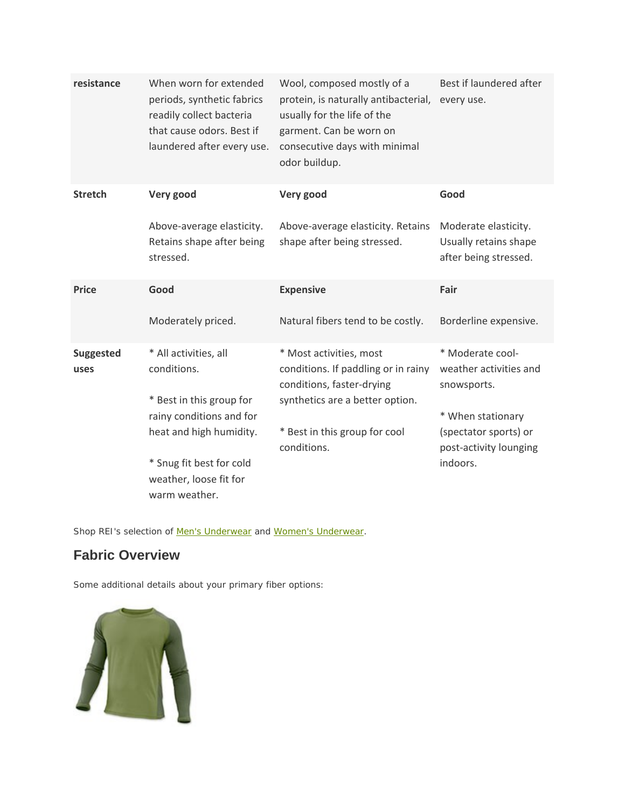| resistance               | When worn for extended<br>periods, synthetic fabrics<br>readily collect bacteria<br>that cause odors. Best if<br>laundered after every use. | Wool, composed mostly of a<br>protein, is naturally antibacterial,<br>usually for the life of the<br>garment. Can be worn on<br>consecutive days with minimal<br>odor buildup. | Best if laundered after<br>every use.                                  |
|--------------------------|---------------------------------------------------------------------------------------------------------------------------------------------|--------------------------------------------------------------------------------------------------------------------------------------------------------------------------------|------------------------------------------------------------------------|
| <b>Stretch</b>           | Very good                                                                                                                                   | Very good                                                                                                                                                                      | Good                                                                   |
|                          | Above-average elasticity.<br>Retains shape after being<br>stressed.                                                                         | Above-average elasticity. Retains<br>shape after being stressed.                                                                                                               | Moderate elasticity.<br>Usually retains shape<br>after being stressed. |
| <b>Price</b>             | Good                                                                                                                                        | <b>Expensive</b>                                                                                                                                                               | Fair                                                                   |
|                          | Moderately priced.                                                                                                                          | Natural fibers tend to be costly.                                                                                                                                              | Borderline expensive.                                                  |
| <b>Suggested</b><br>uses | * All activities, all<br>conditions.<br>* Best in this group for                                                                            | * Most activities, most<br>conditions. If paddling or in rainy<br>conditions, faster-drying<br>synthetics are a better option.                                                 | * Moderate cool-<br>weather activities and<br>snowsports.              |
|                          | rainy conditions and for<br>heat and high humidity.                                                                                         | * Best in this group for cool<br>conditions.                                                                                                                                   | * When stationary<br>(spectator sports) or<br>post-activity lounging   |
|                          | * Snug fit best for cold<br>weather, loose fit for<br>warm weather.                                                                         |                                                                                                                                                                                | indoors.                                                               |

Shop REI's selection of Men's Underwear and Women's Underwear.

### **Fabric Overview**

Some additional details about your primary fiber options:

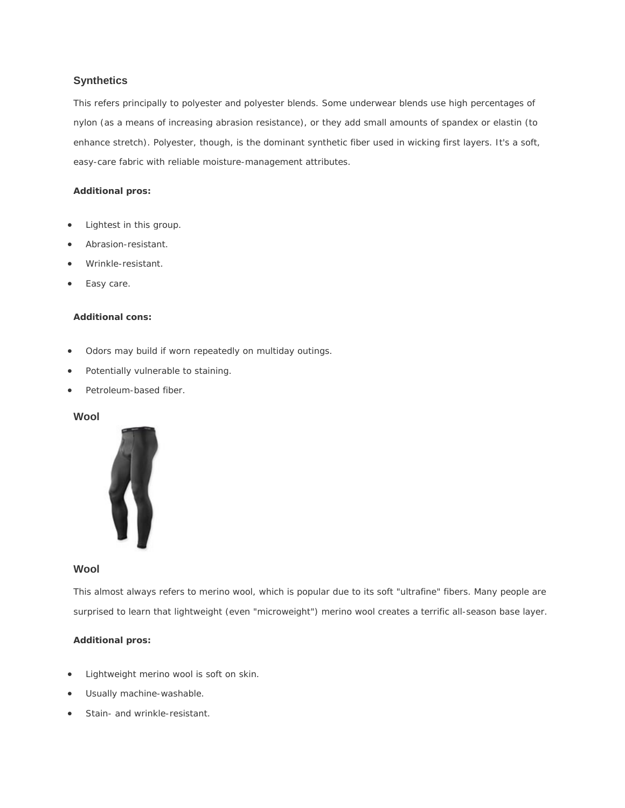#### **Synthetics**

This refers principally to polyester and polyester blends. Some underwear blends use high percentages of nylon (as a means of increasing abrasion resistance), or they add small amounts of spandex or elastin (to enhance stretch). Polyester, though, is the dominant synthetic fiber used in wicking first layers. It's a soft, easy-care fabric with reliable moisture-management attributes.

#### **Additional pros:**

- Lightest in this group.
- Abrasion-resistant.
- Wrinkle-resistant.
- Easy care.

#### **Additional cons:**

- Odors may build if worn repeatedly on multiday outings.
- Potentially vulnerable to staining.
- Petroleum-based fiber.

#### **Wool**



#### **Wool**

This almost always refers to merino wool, which is popular due to its soft "ultrafine" fibers. Many people are surprised to learn that lightweight (even "microweight") merino wool creates a terrific all-season base layer.

#### **Additional pros:**

- Lightweight merino wool is soft on skin.
- Usually machine-washable.
- Stain- and wrinkle-resistant.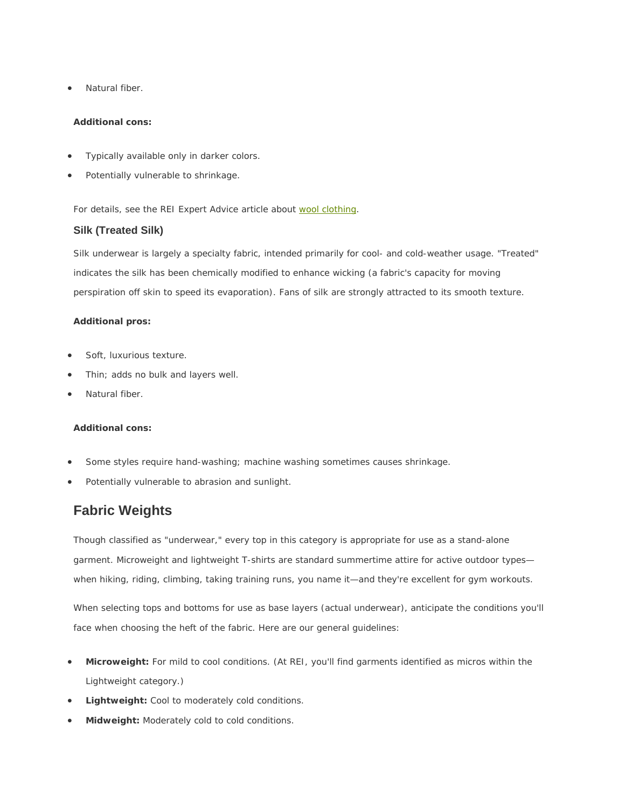Natural fiber.

#### **Additional cons:**

- Typically available only in darker colors.
- Potentially vulnerable to shrinkage.

For details, see the REI Expert Advice article about wool clothing.

#### **Silk (Treated Silk)**

Silk underwear is largely a specialty fabric, intended primarily for cool- and cold-weather usage. "Treated" indicates the silk has been chemically modified to enhance wicking (a fabric's capacity for moving perspiration off skin to speed its evaporation). Fans of silk are strongly attracted to its smooth texture.

#### **Additional pros:**

- Soft, luxurious texture.
- Thin; adds no bulk and layers well.
- Natural fiber.

#### **Additional cons:**

- Some styles require hand-washing; machine washing sometimes causes shrinkage.
- Potentially vulnerable to abrasion and sunlight.

### **Fabric Weights**

Though classified as "underwear," every top in this category is appropriate for use as a stand-alone garment. Microweight and lightweight T-shirts are standard summertime attire for active outdoor types when hiking, riding, climbing, taking training runs, you name it—and they're excellent for gym workouts.

When selecting tops and bottoms for use as base layers (actual *underwear*), anticipate the conditions you'll face when choosing the heft of the fabric. Here are our general guidelines:

- **Microweight:** For mild to cool conditions. (At REI, you'll find garments identified as micros within the Lightweight category.)
- **Lightweight:** Cool to moderately cold conditions.
- **Midweight:** Moderately cold to cold conditions.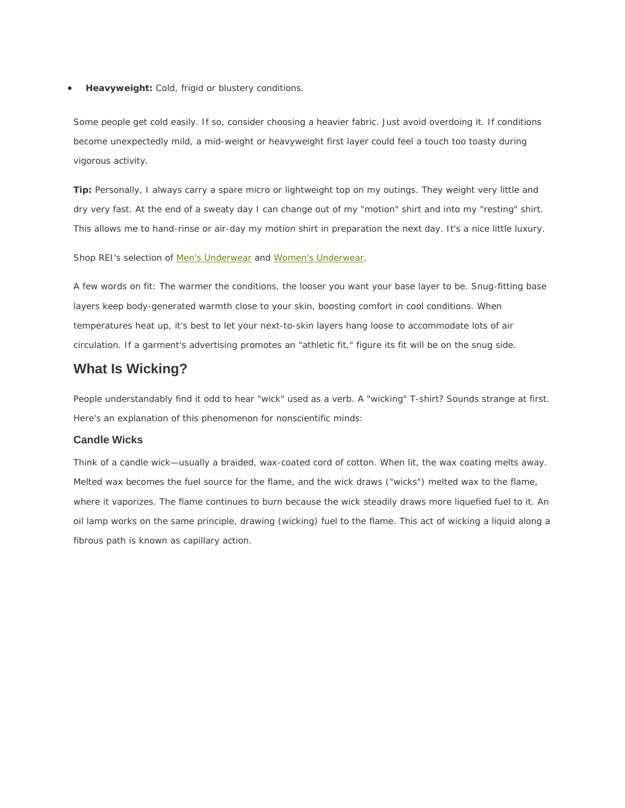**Heavyweight:** Cold, frigid or blustery conditions.

Some people get cold easily. If so, consider choosing a heavier fabric. Just avoid overdoing it. If conditions become unexpectedly mild, a mid-weight or heavyweight first layer could feel a touch too toasty during vigorous activity.

**Tip:** Personally, I always carry a spare micro or lightweight top on my outings. They weight very little and dry very fast. At the end of a sweaty day I can change out of my "motion" shirt and into my "resting" shirt. This allows me to hand-rinse or air-day my motion shirt in preparation the next day. It's a nice little luxury.

Shop REI's selection of Men's Underwear and Women's Underwear.

A few words on fit: The warmer the conditions, the looser you want your base layer to be. Snug-fitting base layers keep body-generated warmth close to your skin, boosting comfort in cool conditions. When temperatures heat up, it's best to let your next-to-skin layers hang loose to accommodate lots of air circulation. If a garment's advertising promotes an "athletic fit," figure its fit will be on the snug side.

### **What Is Wicking?**

People understandably find it odd to hear "wick" used as a verb. A "wicking" T-shirt? Sounds strange at first. Here's an explanation of this phenomenon for nonscientific minds:

#### **Candle Wicks**

Think of a candle wick—usually a braided, wax-coated cord of cotton. When lit, the wax coating melts away. Melted wax becomes the fuel source for the flame, and the wick draws ("wicks") melted wax to the flame, where it vaporizes. The flame continues to burn because the wick steadily draws more liquefied fuel to it. An oil lamp works on the same principle, drawing (wicking) fuel to the flame. This act of wicking a liquid along a fibrous path is known as capillary action.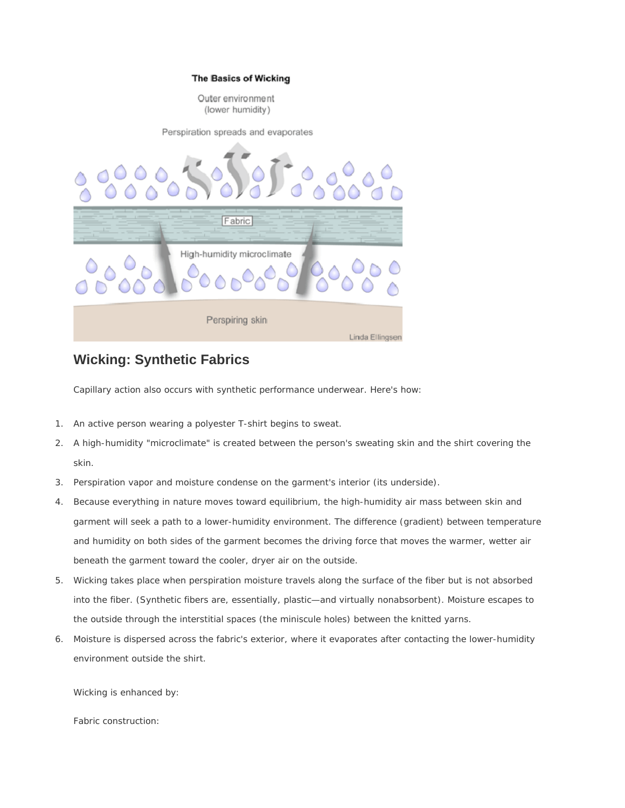#### **The Basics of Wicking**

Outer environment (lower humidity)

Perspiration spreads and evaporates



### **Wicking: Synthetic Fabrics**

Capillary action also occurs with synthetic performance underwear. Here's how:

- 1. An active person wearing a polyester T-shirt begins to sweat.
- 2. A high-humidity "microclimate" is created between the person's sweating skin and the shirt covering the skin.
- 3. Perspiration vapor and moisture condense on the garment's interior (its underside).
- 4. Because everything in nature moves toward equilibrium, the high-humidity air mass between skin and garment will seek a path to a lower-humidity environment. The difference (gradient) between temperature and humidity on both sides of the garment becomes the driving force that moves the warmer, wetter air beneath the garment toward the cooler, dryer air on the outside.
- 5. Wicking takes place when perspiration moisture travels along the surface of the fiber but is not absorbed into the fiber. (Synthetic fibers are, essentially, plastic—and virtually nonabsorbent). Moisture escapes to the outside through the interstitial spaces (the miniscule holes) between the knitted yarns.
- 6. Moisture is dispersed across the fabric's exterior, where it evaporates after contacting the lower-humidity environment outside the shirt.

Wicking is enhanced by:

Fabric construction: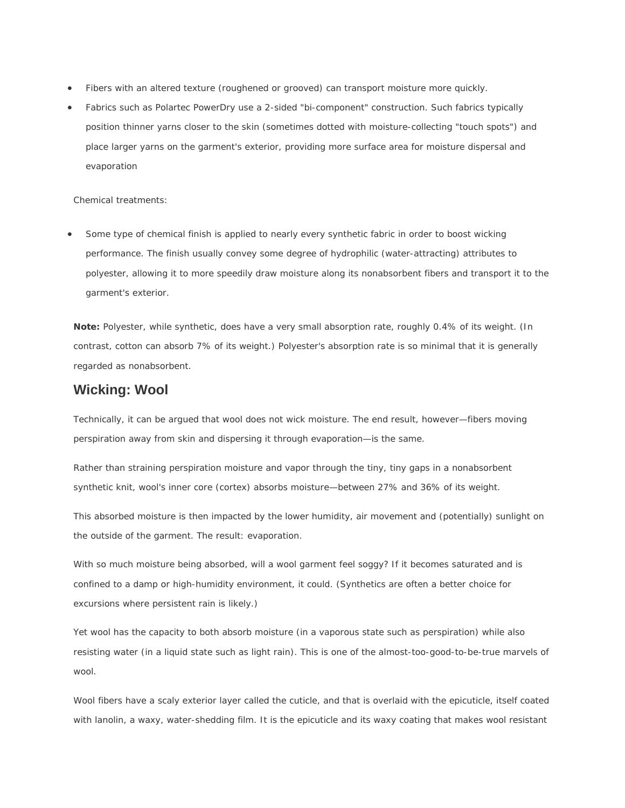- Fibers with an altered texture (roughened or grooved) can transport moisture more quickly.
- Fabrics such as Polartec PowerDry use a 2-sided "bi-component" construction. Such fabrics typically position thinner yarns closer to the skin (sometimes dotted with moisture-collecting "touch spots") and place larger yarns on the garment's exterior, providing more surface area for moisture dispersal and evaporation

Chemical treatments:

 Some type of chemical finish is applied to nearly every synthetic fabric in order to boost wicking performance. The finish usually convey some degree of hydrophilic (water-attracting) attributes to polyester, allowing it to more speedily draw moisture along its nonabsorbent fibers and transport it to the garment's exterior.

**Note:** Polyester, while synthetic, does have a very small absorption rate, roughly 0.4% of its weight. (In contrast, cotton can absorb 7% of its weight.) Polyester's absorption rate is so minimal that it is generally regarded as nonabsorbent.

#### **Wicking: Wool**

Technically, it can be argued that wool does not wick moisture. The end result, however—fibers moving perspiration away from skin and dispersing it through evaporation—is the same.

Rather than straining perspiration moisture and vapor through the tiny, tiny gaps in a nonabsorbent synthetic knit, wool's inner core (cortex) absorbs moisture—between 27% and 36% of its weight.

This absorbed moisture is then impacted by the lower humidity, air movement and (potentially) sunlight on the outside of the garment. The result: evaporation.

With so much moisture being absorbed, will a wool garment feel soggy? If it becomes saturated and is confined to a damp or high-humidity environment, it could. (Synthetics are often a better choice for excursions where persistent rain is likely.)

Yet wool has the capacity to both absorb moisture (in a vaporous state such as perspiration) while also resisting water (in a liquid state such as light rain). This is one of the almost-too-good-to-be-true marvels of wool.

Wool fibers have a scaly exterior layer called the cuticle, and that is overlaid with the epicuticle, itself coated with lanolin, a waxy, water-shedding film. It is the epicuticle and its waxy coating that makes wool resistant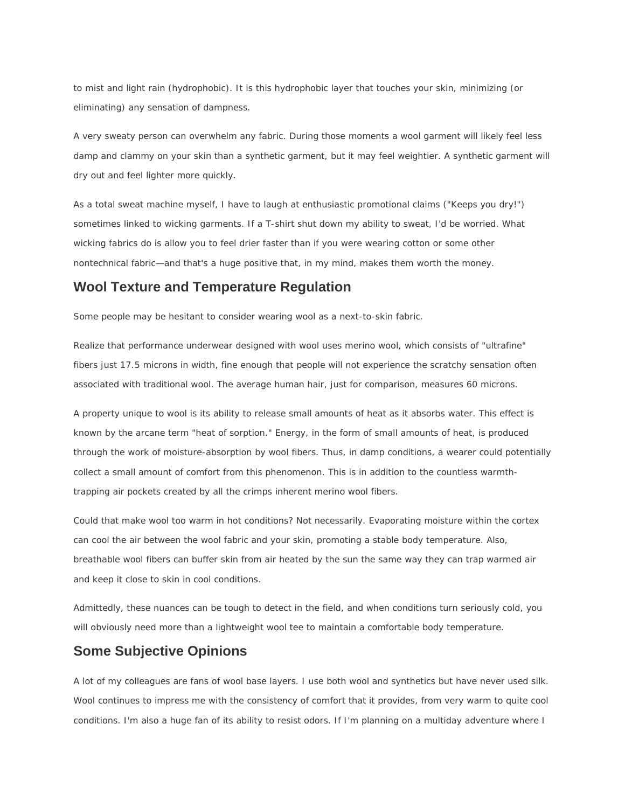to mist and light rain (hydrophobic). It is this hydrophobic layer that touches your skin, minimizing (or eliminating) any sensation of dampness.

A very sweaty person can overwhelm any fabric. During those moments a wool garment will likely feel less damp and clammy on your skin than a synthetic garment, but it may feel weightier. A synthetic garment will dry out and feel lighter more quickly.

As a total sweat machine myself, I have to laugh at enthusiastic promotional claims ("Keeps you dry!") sometimes linked to wicking garments. If a T-shirt shut down my ability to sweat, I'd be worried. What wicking fabrics do is allow you to *feel drier faster* than if you were wearing cotton or some other nontechnical fabric—and that's a huge positive that, in my mind, makes them worth the money.

### **Wool Texture and Temperature Regulation**

Some people may be hesitant to consider wearing wool as a next-to-skin fabric.

Realize that performance underwear designed with wool uses merino wool, which consists of "ultrafine" fibers just 17.5 microns in width, fine enough that people will not experience the scratchy sensation often associated with traditional wool. The average human hair, just for comparison, measures 60 microns.

A property unique to wool is its ability to release small amounts of heat as it absorbs water. This effect is known by the arcane term "heat of sorption." Energy, in the form of small amounts of heat, is produced through the work of moisture-absorption by wool fibers. Thus, in damp conditions, a wearer could potentially collect a small amount of comfort from this phenomenon. This is in addition to the countless warmthtrapping air pockets created by all the crimps inherent merino wool fibers.

Could that make wool too warm in hot conditions? Not necessarily. Evaporating moisture within the cortex can cool the air between the wool fabric and your skin, promoting a stable body temperature. Also, breathable wool fibers can buffer skin from air heated by the sun the same way they can trap warmed air and keep it close to skin in cool conditions.

Admittedly, these nuances can be tough to detect in the field, and when conditions turn seriously cold, you will obviously need more than a lightweight wool tee to maintain a comfortable body temperature.

### **Some Subjective Opinions**

A lot of my colleagues are fans of wool base layers. I use both wool and synthetics but have never used silk. Wool continues to impress me with the consistency of comfort that it provides, from very warm to quite cool conditions. I'm also a huge fan of its ability to resist odors. If I'm planning on a multiday adventure where I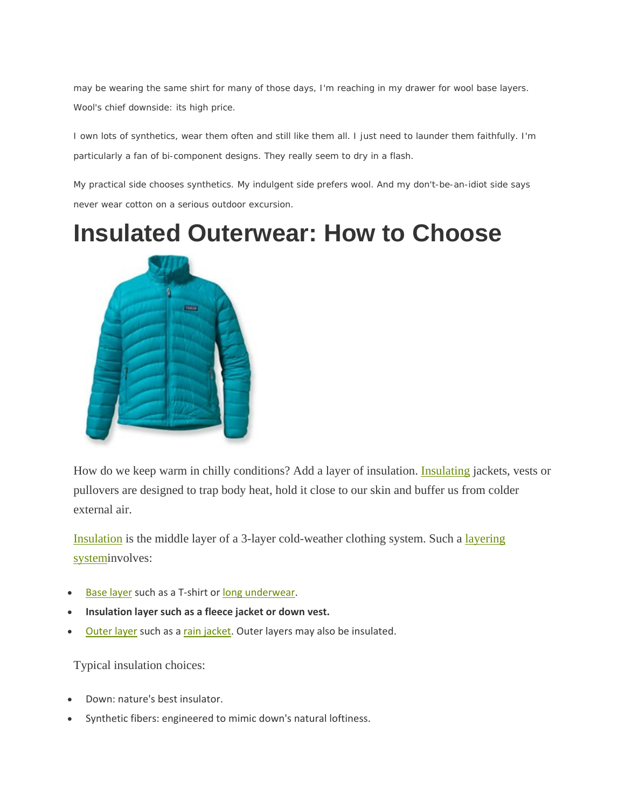may be wearing the same shirt for many of those days, I'm reaching in my drawer for wool base layers. Wool's chief downside: its high price.

I own lots of synthetics, wear them often and still like them all. I just need to launder them faithfully. I'm particularly a fan of bi-component designs. They really seem to dry in a flash.

My practical side chooses synthetics. My indulgent side prefers wool. And my don't-be-an-idiot side says never wear cotton on a serious outdoor excursion.

**Insulated Outerwear: How to Choose** 



How do we keep warm in chilly conditions? Add a layer of insulation. Insulating jackets, vests or pullovers are designed to trap body heat, hold it close to our skin and buffer us from colder external air.

Insulation is the middle layer of a 3-layer cold-weather clothing system. Such a layering systeminvolves:

- Base layer such as a T‐shirt or long underwear.
- **Insulation layer such as a fleece jacket or down vest.**
- Outer layer such as a rain jacket. Outer layers may also be insulated.

Typical insulation choices:

- Down: nature's best insulator.
- Synthetic fibers: engineered to mimic down's natural loftiness.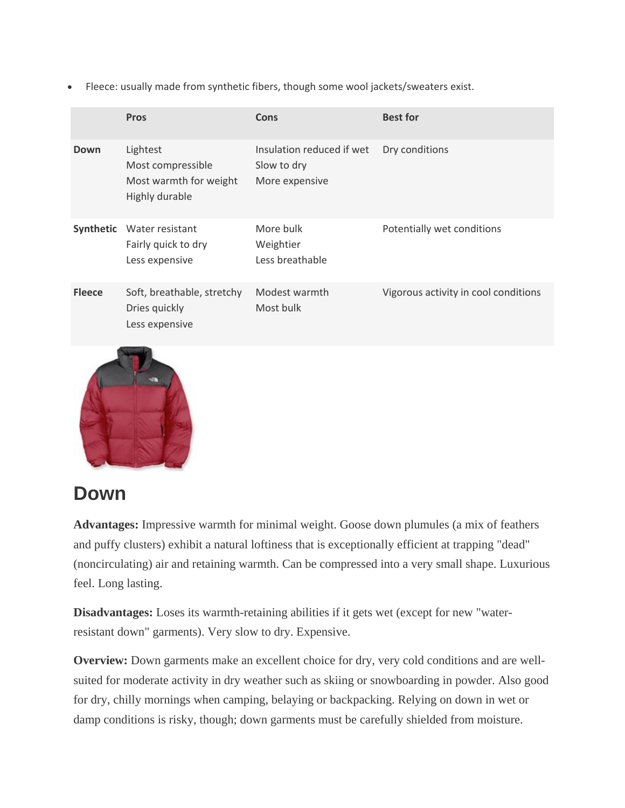Fleece: usually made from synthetic fibers, though some wool jackets/sweaters exist.

|               | <b>Pros</b>                                                               | Cons                                                       | <b>Best for</b>                      |
|---------------|---------------------------------------------------------------------------|------------------------------------------------------------|--------------------------------------|
| Down          | Lightest<br>Most compressible<br>Most warmth for weight<br>Highly durable | Insulation reduced if wet<br>Slow to dry<br>More expensive | Dry conditions                       |
| Synthetic     | Water resistant<br>Fairly quick to dry<br>Less expensive                  | More bulk<br>Weightier<br>Less breathable                  | Potentially wet conditions           |
| <b>Fleece</b> | Soft, breathable, stretchy<br>Dries quickly<br>Less expensive             | Modest warmth<br>Most bulk                                 | Vigorous activity in cool conditions |
|               |                                                                           |                                                            |                                      |



## **Down**

**Advantages:** Impressive warmth for minimal weight. Goose down plumules (a mix of feathers and puffy clusters) exhibit a natural loftiness that is exceptionally efficient at trapping "dead" (noncirculating) air and retaining warmth. Can be compressed into a very small shape. Luxurious feel. Long lasting.

**Disadvantages:** Loses its warmth-retaining abilities if it gets wet (except for new "waterresistant down" garments). Very slow to dry. Expensive.

**Overview:** Down garments make an excellent choice for dry, very cold conditions and are wellsuited for moderate activity in dry weather such as skiing or snowboarding in powder. Also good for dry, chilly mornings when camping, belaying or backpacking. Relying on down in wet or damp conditions is risky, though; down garments must be carefully shielded from moisture.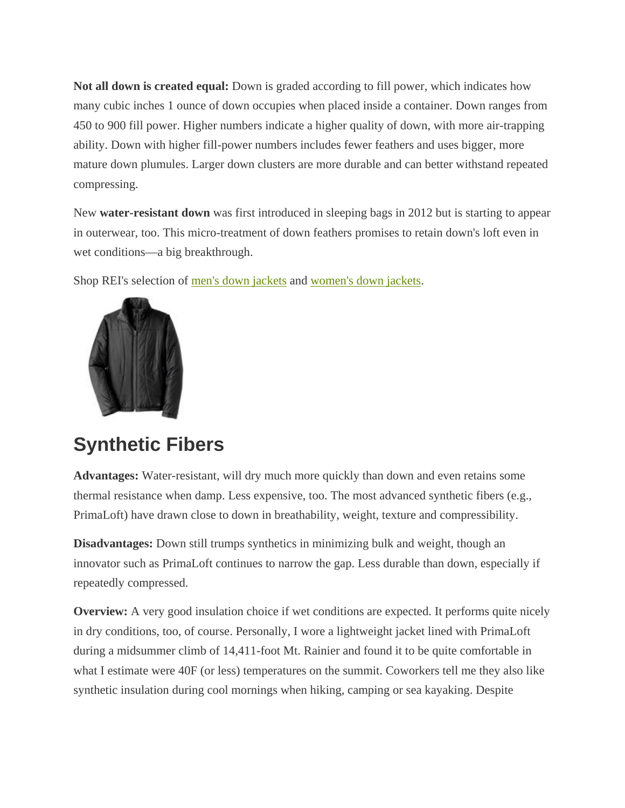**Not all down is created equal:** Down is graded according to fill power, which indicates how many cubic inches 1 ounce of down occupies when placed inside a container. Down ranges from 450 to 900 fill power. Higher numbers indicate a higher quality of down, with more air-trapping ability. Down with higher fill-power numbers includes fewer feathers and uses bigger, more mature down plumules. Larger down clusters are more durable and can better withstand repeated compressing.

New **water-resistant down** was first introduced in sleeping bags in 2012 but is starting to appear in outerwear, too. This micro-treatment of down feathers promises to retain down's loft even in wet conditions—a big breakthrough.

Shop REI's selection of men's down jackets and women's down jackets.



## **Synthetic Fibers**

**Advantages:** Water-resistant, will dry much more quickly than down and even retains some thermal resistance when damp. Less expensive, too. The most advanced synthetic fibers (e.g., PrimaLoft) have drawn close to down in breathability, weight, texture and compressibility.

**Disadvantages:** Down still trumps synthetics in minimizing bulk and weight, though an innovator such as PrimaLoft continues to narrow the gap. Less durable than down, especially if repeatedly compressed.

**Overview:** A very good insulation choice if wet conditions are expected. It performs quite nicely in dry conditions, too, of course. Personally, I wore a lightweight jacket lined with PrimaLoft during a midsummer climb of 14,411-foot Mt. Rainier and found it to be quite comfortable in what I estimate were 40F (or less) temperatures on the summit. Coworkers tell me they also like synthetic insulation during cool mornings when hiking, camping or sea kayaking. Despite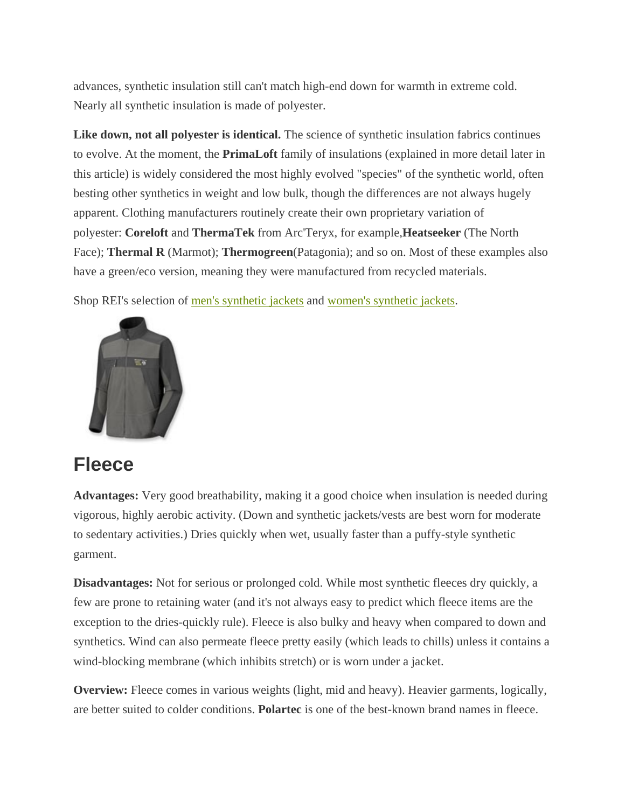advances, synthetic insulation still can't match high-end down for warmth in extreme cold. Nearly all synthetic insulation is made of polyester.

**Like down, not all polyester is identical.** The science of synthetic insulation fabrics continues to evolve. At the moment, the **PrimaLoft** family of insulations (explained in more detail later in this article) is widely considered the most highly evolved "species" of the synthetic world, often besting other synthetics in weight and low bulk, though the differences are not always hugely apparent. Clothing manufacturers routinely create their own proprietary variation of polyester: **Coreloft** and **ThermaTek** from Arc'Teryx, for example,**Heatseeker** (The North Face); **Thermal R** (Marmot); **Thermogreen**(Patagonia); and so on. Most of these examples also have a green/eco version, meaning they were manufactured from recycled materials.

Shop REI's selection of men's synthetic jackets and women's synthetic jackets.



## **Fleece**

**Advantages:** Very good breathability, making it a good choice when insulation is needed during vigorous, highly aerobic activity. (Down and synthetic jackets/vests are best worn for moderate to sedentary activities.) Dries quickly when wet, usually faster than a puffy-style synthetic garment.

**Disadvantages:** Not for serious or prolonged cold. While most synthetic fleeces dry quickly, a few are prone to retaining water (and it's not always easy to predict which fleece items are the exception to the dries-quickly rule). Fleece is also bulky and heavy when compared to down and synthetics. Wind can also permeate fleece pretty easily (which leads to chills) unless it contains a wind-blocking membrane (which inhibits stretch) or is worn under a jacket.

**Overview:** Fleece comes in various weights (light, mid and heavy). Heavier garments, logically, are better suited to colder conditions. **Polartec** is one of the best-known brand names in fleece.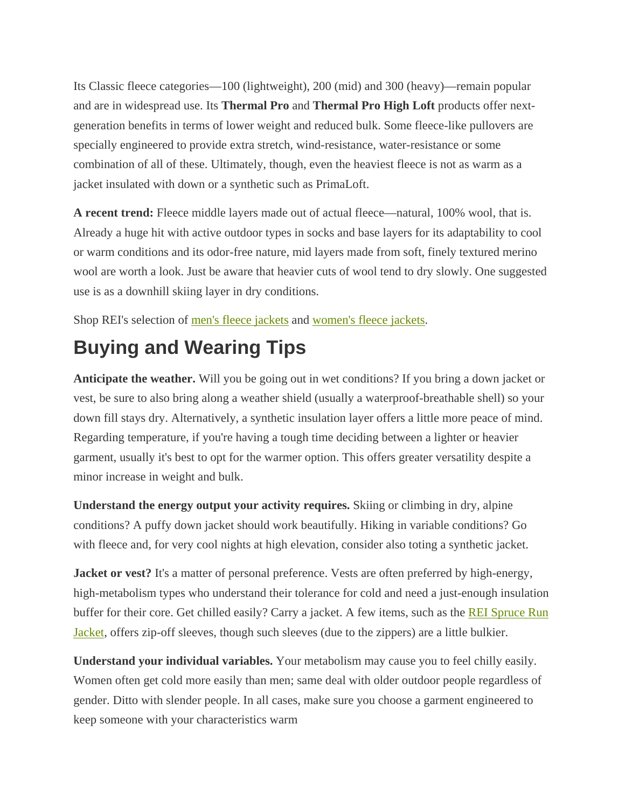Its Classic fleece categories—100 (lightweight), 200 (mid) and 300 (heavy)—remain popular and are in widespread use. Its **Thermal Pro** and **Thermal Pro High Loft** products offer nextgeneration benefits in terms of lower weight and reduced bulk. Some fleece-like pullovers are specially engineered to provide extra stretch, wind-resistance, water-resistance or some combination of all of these. Ultimately, though, even the heaviest fleece is not as warm as a jacket insulated with down or a synthetic such as PrimaLoft.

**A recent trend:** Fleece middle layers made out of actual fleece—natural, 100% wool, that is. Already a huge hit with active outdoor types in socks and base layers for its adaptability to cool or warm conditions and its odor-free nature, mid layers made from soft, finely textured merino wool are worth a look. Just be aware that heavier cuts of wool tend to dry slowly. One suggested use is as a downhill skiing layer in dry conditions.

Shop REI's selection of men's fleece jackets and women's fleece jackets.

## **Buying and Wearing Tips**

**Anticipate the weather.** Will you be going out in wet conditions? If you bring a down jacket or vest, be sure to also bring along a weather shield (usually a waterproof-breathable shell) so your down fill stays dry. Alternatively, a synthetic insulation layer offers a little more peace of mind. Regarding temperature, if you're having a tough time deciding between a lighter or heavier garment, usually it's best to opt for the warmer option. This offers greater versatility despite a minor increase in weight and bulk.

**Understand the energy output your activity requires.** Skiing or climbing in dry, alpine conditions? A puffy down jacket should work beautifully. Hiking in variable conditions? Go with fleece and, for very cool nights at high elevation, consider also toting a synthetic jacket.

**Jacket or vest?** It's a matter of personal preference. Vests are often preferred by high-energy, high-metabolism types who understand their tolerance for cold and need a just-enough insulation buffer for their core. Get chilled easily? Carry a jacket. A few items, such as the **REI Spruce Run** Jacket, offers zip-off sleeves, though such sleeves (due to the zippers) are a little bulkier.

**Understand your individual variables.** Your metabolism may cause you to feel chilly easily. Women often get cold more easily than men; same deal with older outdoor people regardless of gender. Ditto with slender people. In all cases, make sure you choose a garment engineered to keep someone with your characteristics warm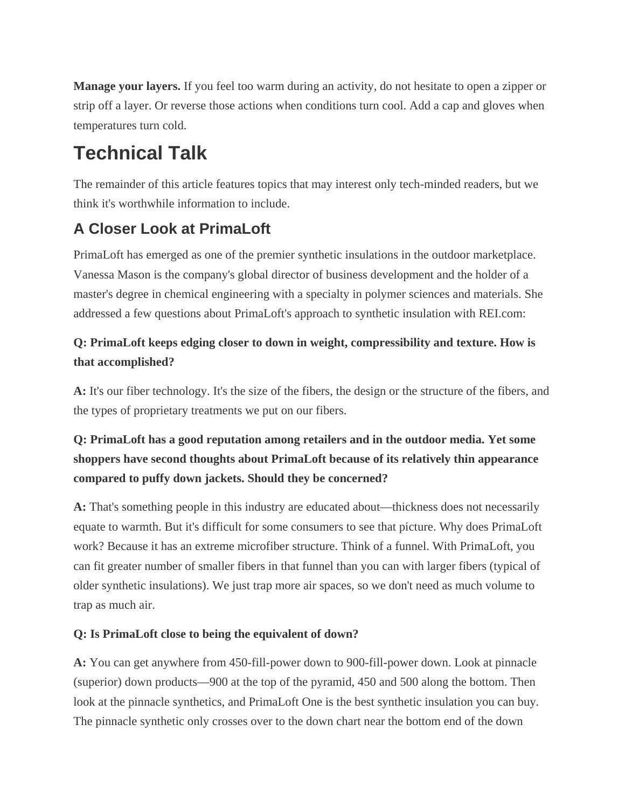**Manage your layers.** If you feel too warm during an activity, do not hesitate to open a zipper or strip off a layer. Or reverse those actions when conditions turn cool. Add a cap and gloves when temperatures turn cold.

## **Technical Talk**

The remainder of this article features topics that may interest only tech-minded readers, but we think it's worthwhile information to include.

## **A Closer Look at PrimaLoft**

PrimaLoft has emerged as one of the premier synthetic insulations in the outdoor marketplace. Vanessa Mason is the company's global director of business development and the holder of a master's degree in chemical engineering with a specialty in polymer sciences and materials. She addressed a few questions about PrimaLoft's approach to synthetic insulation with REI.com:

## **Q: PrimaLoft keeps edging closer to down in weight, compressibility and texture. How is that accomplished?**

**A:** It's our fiber technology. It's the size of the fibers, the design or the structure of the fibers, and the types of proprietary treatments we put on our fibers.

## **Q: PrimaLoft has a good reputation among retailers and in the outdoor media. Yet some shoppers have second thoughts about PrimaLoft because of its relatively thin appearance compared to puffy down jackets. Should they be concerned?**

**A:** That's something people in this industry are educated about—thickness does not necessarily equate to warmth. But it's difficult for some consumers to see that picture. Why does PrimaLoft work? Because it has an extreme microfiber structure. Think of a funnel. With PrimaLoft, you can fit greater number of smaller fibers in that funnel than you can with larger fibers (typical of older synthetic insulations). We just trap more air spaces, so we don't need as much volume to trap as much air.

### **Q: Is PrimaLoft close to being the equivalent of down?**

**A:** You can get anywhere from 450-fill-power down to 900-fill-power down. Look at pinnacle (superior) down products—900 at the top of the pyramid, 450 and 500 along the bottom. Then look at the pinnacle synthetics, and PrimaLoft One is the best synthetic insulation you can buy. The pinnacle synthetic only crosses over to the down chart near the bottom end of the down